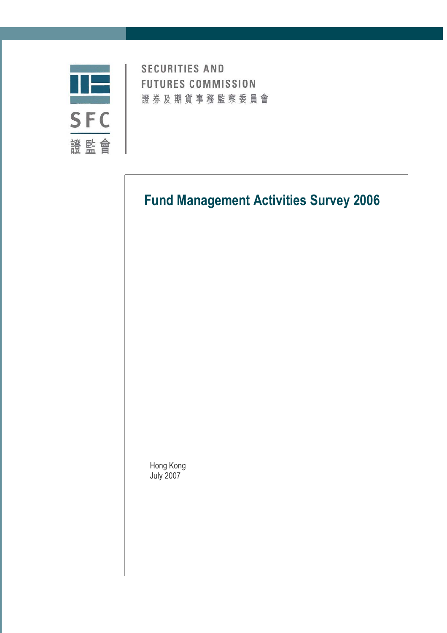

**SECURITIES AND FUTURES COMMISSION** 證券及期貨事務監察委員會

# **Fund Management Activities Survey 2006**

Hong Kong July 2007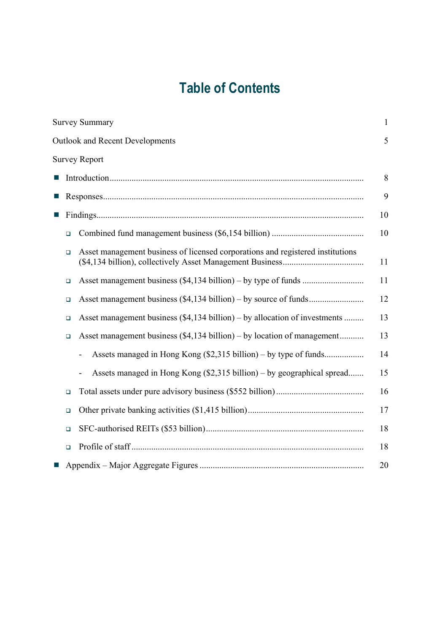# **Table of Contents**

|        | <b>Survey Summary</b>                                                          | $\mathbf{1}$ |
|--------|--------------------------------------------------------------------------------|--------------|
|        | <b>Outlook and Recent Developments</b>                                         | 5            |
|        | <b>Survey Report</b>                                                           |              |
|        |                                                                                | 8            |
|        |                                                                                | 9            |
|        |                                                                                | 10           |
| $\Box$ |                                                                                | 10           |
| $\Box$ | Asset management business of licensed corporations and registered institutions | 11           |
| $\Box$ |                                                                                | 11           |
| $\Box$ |                                                                                | 12           |
| $\Box$ | Asset management business (\$4,134 billion) – by allocation of investments     | 13           |
| $\Box$ | Asset management business (\$4,134 billion) – by location of management        | 13           |
|        | Assets managed in Hong Kong (\$2,315 billion) – by type of funds               | 14           |
|        | Assets managed in Hong Kong (\$2,315 billion) – by geographical spread         | 15           |
| $\Box$ |                                                                                | 16           |
| $\Box$ |                                                                                | 17           |
| $\Box$ |                                                                                | 18           |
| $\Box$ |                                                                                | 18           |
|        |                                                                                | 20           |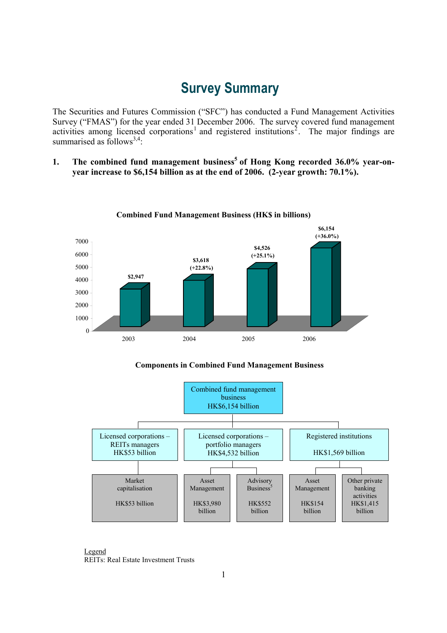# **Survey Summary**

The Securities and Futures Commission ("SFC") has conducted a Fund Management Activities Survey ("FMAS") for the year ended 31 December 2006. The survey covered fund management activities among licensed corporations<sup>1</sup> and registered institutions<sup>2</sup>. The major findings are summarised as follows<sup>3,4</sup>:

1. The combined fund management business<sup>5</sup> of Hong Kong recorded 36.0% year-on**year increase to \$6,154 billion as at the end of 2006. (2-year growth: 70.1%).** 



**Combined Fund Management Business (HK\$ in billions)**

 **Components in Combined Fund Management Business** 



Legend REITs: Real Estate Investment Trusts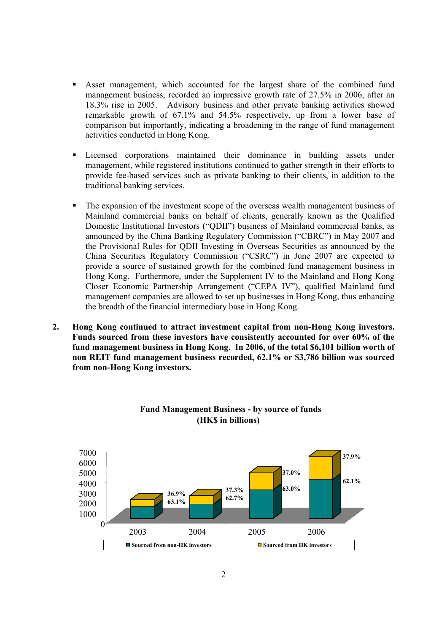- Asset management, which accounted for the largest share of the combined fund management business, recorded an impressive growth rate of 27.5% in 2006, after an 18.3% rise in 2005. Advisory business and other private banking activities showed remarkable growth of 67.1% and 54.5% respectively, up from a lower base of comparison but importantly, indicating a broadening in the range of fund management activities conducted in Hong Kong.
- Licensed corporations maintained their dominance in building assets under management, while registered institutions continued to gather strength in their efforts to provide fee-based services such as private banking to their clients, in addition to the traditional banking services.
- The expansion of the investment scope of the overseas wealth management business of Mainland commercial banks on behalf of clients, generally known as the Qualified Domestic Institutional Investors ("QDII") business of Mainland commercial banks, as announced by the China Banking Regulatory Commission ("CBRC") in May 2007 and the Provisional Rules for QDII Investing in Overseas Securities as announced by the China Securities Regulatory Commission ("CSRC") in June 2007 are expected to provide a source of sustained growth for the combined fund management business in Hong Kong. Furthermore, under the Supplement IV to the Mainland and Hong Kong Closer Economic Partnership Arrangement ("CEPA IV"), qualified Mainland fund management companies are allowed to set up businesses in Hong Kong, thus enhancing the breadth of the financial intermediary base in Hong Kong.
- **2. Hong Kong continued to attract investment capital from non-Hong Kong investors. Funds sourced from these investors have consistently accounted for over 60% of the fund management business in Hong Kong. In 2006, of the total \$6,101 billion worth of non REIT fund management business recorded, 62.1% or \$3,786 billion was sourced from non-Hong Kong investors.**



### **Fund Management Business - by source of funds (HK\$ in billions)**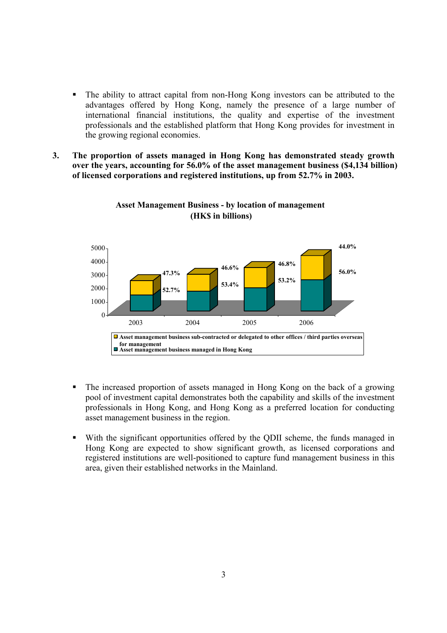- The ability to attract capital from non-Hong Kong investors can be attributed to the advantages offered by Hong Kong, namely the presence of a large number of international financial institutions, the quality and expertise of the investment professionals and the established platform that Hong Kong provides for investment in the growing regional economies.
- **3. The proportion of assets managed in Hong Kong has demonstrated steady growth over the years, accounting for 56.0% of the asset management business (\$4,134 billion) of licensed corporations and registered institutions, up from 52.7% in 2003.**



#### **Asset Management Business - by location of management (HK\$ in billions)**

- The increased proportion of assets managed in Hong Kong on the back of a growing pool of investment capital demonstrates both the capability and skills of the investment professionals in Hong Kong, and Hong Kong as a preferred location for conducting asset management business in the region.
- With the significant opportunities offered by the QDII scheme, the funds managed in Hong Kong are expected to show significant growth, as licensed corporations and registered institutions are well-positioned to capture fund management business in this area, given their established networks in the Mainland.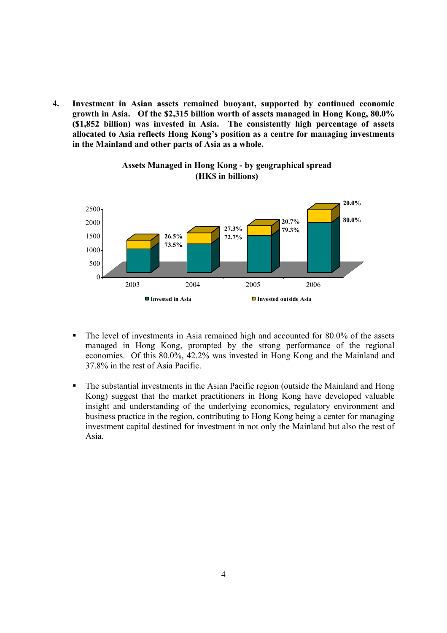**4. Investment in Asian assets remained buoyant, supported by continued economic growth in Asia. Of the \$2,315 billion worth of assets managed in Hong Kong, 80.0% (\$1,852 billion) was invested in Asia. The consistently high percentage of assets allocated to Asia reflects Hong Kong's position as a centre for managing investments in the Mainland and other parts of Asia as a whole.** 



### **Assets Managed in Hong Kong - by geographical spread (HK\$ in billions)**

- The level of investments in Asia remained high and accounted for 80.0% of the assets managed in Hong Kong, prompted by the strong performance of the regional economies. Of this 80.0%, 42.2% was invested in Hong Kong and the Mainland and 37.8% in the rest of Asia Pacific.
- The substantial investments in the Asian Pacific region (outside the Mainland and Hong Kong) suggest that the market practitioners in Hong Kong have developed valuable insight and understanding of the underlying economics, regulatory environment and business practice in the region, contributing to Hong Kong being a center for managing investment capital destined for investment in not only the Mainland but also the rest of Asia.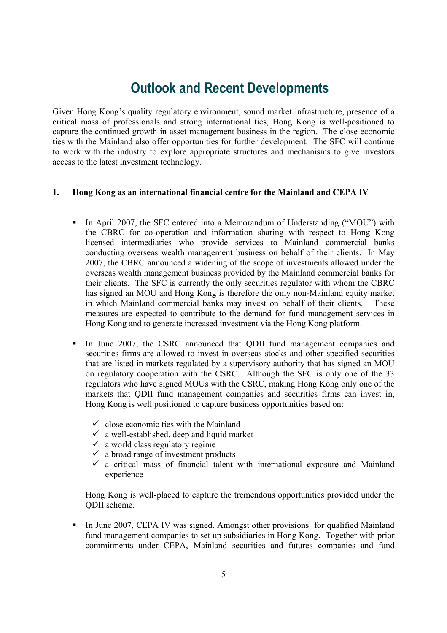# **Outlook and Recent Developments**

Given Hong Kong's quality regulatory environment, sound market infrastructure, presence of a critical mass of professionals and strong international ties, Hong Kong is well-positioned to capture the continued growth in asset management business in the region. The close economic ties with the Mainland also offer opportunities for further development. The SFC will continue to work with the industry to explore appropriate structures and mechanisms to give investors access to the latest investment technology.

#### **1. Hong Kong as an international financial centre for the Mainland and CEPA IV**

- In April 2007, the SFC entered into a Memorandum of Understanding ("MOU") with the CBRC for co-operation and information sharing with respect to Hong Kong licensed intermediaries who provide services to Mainland commercial banks conducting overseas wealth management business on behalf of their clients. In May 2007, the CBRC announced a widening of the scope of investments allowed under the overseas wealth management business provided by the Mainland commercial banks for their clients. The SFC is currently the only securities regulator with whom the CBRC has signed an MOU and Hong Kong is therefore the only non-Mainland equity market in which Mainland commercial banks may invest on behalf of their clients. These measures are expected to contribute to the demand for fund management services in Hong Kong and to generate increased investment via the Hong Kong platform.
- In June 2007, the CSRC announced that QDII fund management companies and securities firms are allowed to invest in overseas stocks and other specified securities that are listed in markets regulated by a supervisory authority that has signed an MOU on regulatory cooperation with the CSRC. Although the SFC is only one of the 33 regulators who have signed MOUs with the CSRC, making Hong Kong only one of the markets that QDII fund management companies and securities firms can invest in, Hong Kong is well positioned to capture business opportunities based on:
	- $\checkmark$  close economic ties with the Mainland
	- $\checkmark$  a well-established, deep and liquid market
	- $\checkmark$  a world class regulatory regime
	- $\checkmark$  a broad range of investment products
	- $\checkmark$  a critical mass of financial talent with international exposure and Mainland experience

Hong Kong is well-placed to capture the tremendous opportunities provided under the QDII scheme.

In June 2007, CEPA IV was signed. Amongst other provisions for qualified Mainland fund management companies to set up subsidiaries in Hong Kong. Together with prior commitments under CEPA, Mainland securities and futures companies and fund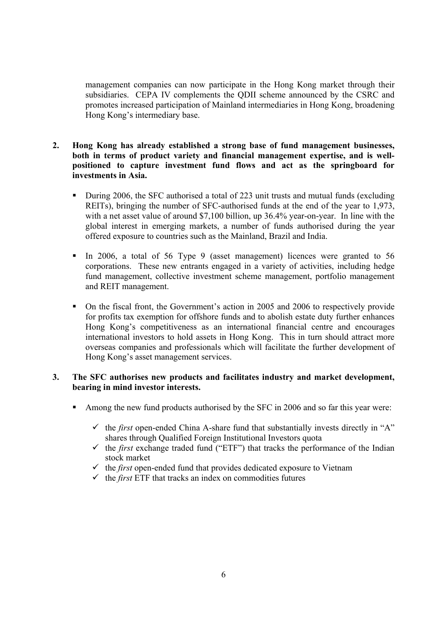management companies can now participate in the Hong Kong market through their subsidiaries. CEPA IV complements the QDII scheme announced by the CSRC and promotes increased participation of Mainland intermediaries in Hong Kong, broadening Hong Kong's intermediary base.

- **2. Hong Kong has already established a strong base of fund management businesses, both in terms of product variety and financial management expertise, and is wellpositioned to capture investment fund flows and act as the springboard for investments in Asia.** 
	- During 2006, the SFC authorised a total of 223 unit trusts and mutual funds (excluding REITs), bringing the number of SFC-authorised funds at the end of the year to 1,973, with a net asset value of around \$7,100 billion, up 36.4% year-on-year. In line with the global interest in emerging markets, a number of funds authorised during the year offered exposure to countries such as the Mainland, Brazil and India.
	- In 2006, a total of 56 Type 9 (asset management) licences were granted to 56 corporations. These new entrants engaged in a variety of activities, including hedge fund management, collective investment scheme management, portfolio management and REIT management.
	- On the fiscal front, the Government's action in 2005 and 2006 to respectively provide for profits tax exemption for offshore funds and to abolish estate duty further enhances Hong Kong's competitiveness as an international financial centre and encourages international investors to hold assets in Hong Kong. This in turn should attract more overseas companies and professionals which will facilitate the further development of Hong Kong's asset management services.

#### **3. The SFC authorises new products and facilitates industry and market development, bearing in mind investor interests.**

- Among the new fund products authorised by the SFC in 2006 and so far this year were:
	- $\checkmark$  the *first* open-ended China A-share fund that substantially invests directly in "A" shares through Qualified Foreign Institutional Investors quota
	- $\checkmark$  the *first* exchange traded fund ("ETF") that tracks the performance of the Indian stock market
	- $\checkmark$  the *first* open-ended fund that provides dedicated exposure to Vietnam
	- $\checkmark$  the *first* ETF that tracks an index on commodities futures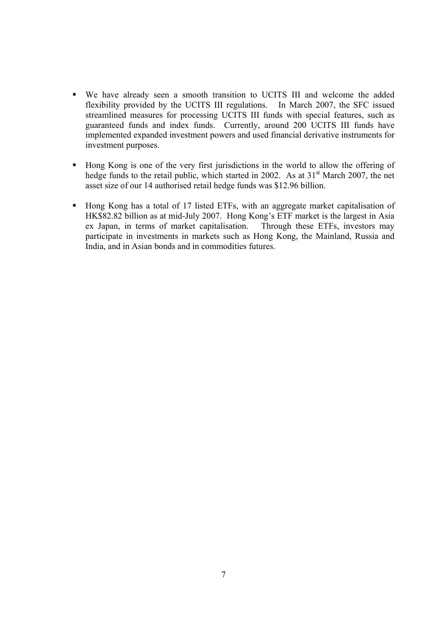- We have already seen a smooth transition to UCITS III and welcome the added flexibility provided by the UCITS III regulations. In March 2007, the SFC issued streamlined measures for processing UCITS III funds with special features, such as guaranteed funds and index funds. Currently, around 200 UCITS III funds have implemented expanded investment powers and used financial derivative instruments for investment purposes.
- Hong Kong is one of the very first jurisdictions in the world to allow the offering of hedge funds to the retail public, which started in 2002. As at  $31<sup>st</sup>$  March 2007, the net asset size of our 14 authorised retail hedge funds was \$12.96 billion.
- Hong Kong has a total of 17 listed ETFs, with an aggregate market capitalisation of HK\$82.82 billion as at mid-July 2007. Hong Kong's ETF market is the largest in Asia ex Japan, in terms of market capitalisation. Through these ETFs, investors may participate in investments in markets such as Hong Kong, the Mainland, Russia and India, and in Asian bonds and in commodities futures.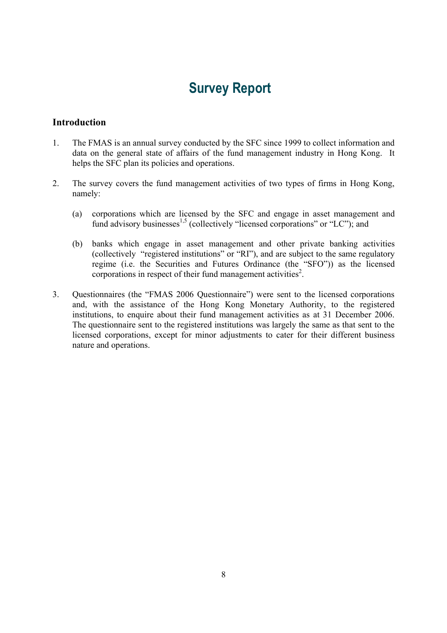# **Survey Report**

### **Introduction**

- 1. The FMAS is an annual survey conducted by the SFC since 1999 to collect information and data on the general state of affairs of the fund management industry in Hong Kong. It helps the SFC plan its policies and operations.
- 2. The survey covers the fund management activities of two types of firms in Hong Kong, namely:
	- (a) corporations which are licensed by the SFC and engage in asset management and fund advisory businesses<sup>1,5</sup> (collectively "licensed corporations" or "LC"); and
	- (b) banks which engage in asset management and other private banking activities (collectively "registered institutions" or "RI"), and are subject to the same regulatory regime (i.e. the Securities and Futures Ordinance (the "SFO")) as the licensed corporations in respect of their fund management activities<sup>2</sup>.
- 3. Questionnaires (the "FMAS 2006 Questionnaire") were sent to the licensed corporations and, with the assistance of the Hong Kong Monetary Authority, to the registered institutions, to enquire about their fund management activities as at 31 December 2006. The questionnaire sent to the registered institutions was largely the same as that sent to the licensed corporations, except for minor adjustments to cater for their different business nature and operations.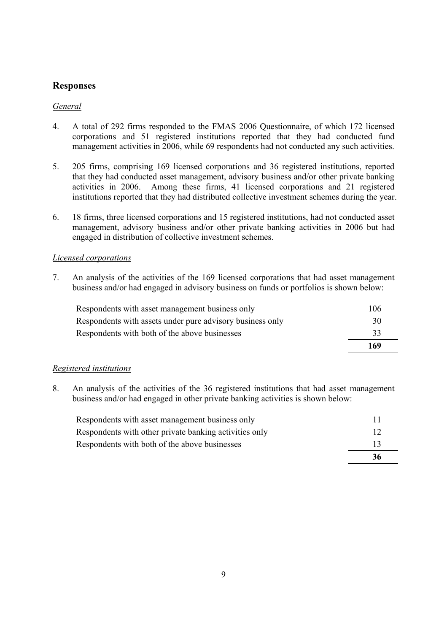## **Responses**

#### *General*

- 4. A total of 292 firms responded to the FMAS 2006 Questionnaire, of which 172 licensed corporations and 51 registered institutions reported that they had conducted fund management activities in 2006, while 69 respondents had not conducted any such activities.
- 5. 205 firms, comprising 169 licensed corporations and 36 registered institutions, reported that they had conducted asset management, advisory business and/or other private banking activities in 2006. Among these firms, 41 licensed corporations and 21 registered institutions reported that they had distributed collective investment schemes during the year.
- 6. 18 firms, three licensed corporations and 15 registered institutions, had not conducted asset management, advisory business and/or other private banking activities in 2006 but had engaged in distribution of collective investment schemes.

#### *Licensed corporations*

7. An analysis of the activities of the 169 licensed corporations that had asset management business and/or had engaged in advisory business on funds or portfolios is shown below:

| Respondents with assets under pure advisory business only | 30  |
|-----------------------------------------------------------|-----|
| Respondents with both of the above businesses             | 33  |
|                                                           | 169 |

#### *Registered institutions*

8. An analysis of the activities of the 36 registered institutions that had asset management business and/or had engaged in other private banking activities is shown below:

| Respondents with both of the above businesses          | 13<br>36 |
|--------------------------------------------------------|----------|
| Respondents with other private banking activities only | 12       |
| Respondents with asset management business only        |          |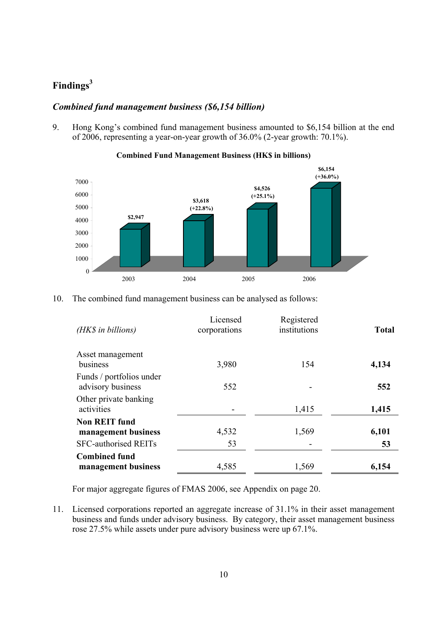# **Findings3**

### *Combined fund management business (\$6,154 billion)*

9. Hong Kong's combined fund management business amounted to \$6,154 billion at the end of 2006, representing a year-on-year growth of 36.0% (2-year growth: 70.1%).



#### **Combined Fund Management Business (HK\$ in billions)**

10. The combined fund management business can be analysed as follows:

| Licensed<br>corporations | Registered<br>institutions | <b>Total</b> |
|--------------------------|----------------------------|--------------|
| 3,980                    | 154                        | 4,134        |
| 552                      |                            | 552          |
|                          | 1,415                      | 1,415        |
| 4,532                    | 1,569                      | 6,101        |
| 53                       |                            | 53           |
| 4,585                    | 1,569                      | 6,154        |
|                          |                            |              |

For major aggregate figures of FMAS 2006, see Appendix on page 20.

11. Licensed corporations reported an aggregate increase of 31.1% in their asset management business and funds under advisory business. By category, their asset management business rose 27.5% while assets under pure advisory business were up 67.1%.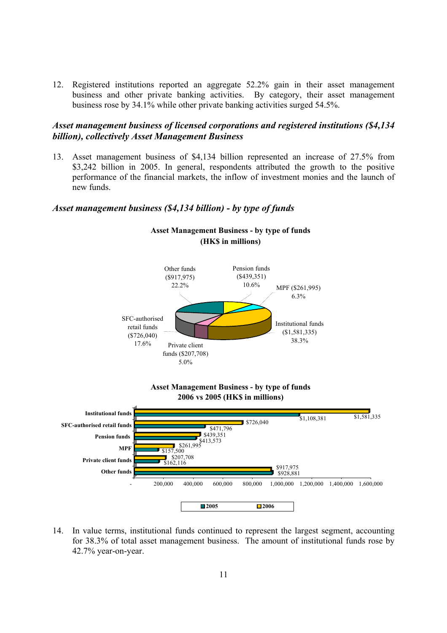12. Registered institutions reported an aggregate 52.2% gain in their asset management business and other private banking activities. By category, their asset management business rose by 34.1% while other private banking activities surged 54.5%.

#### *Asset management business of licensed corporations and registered institutions (\$4,134 billion), collectively Asset Management Business*

13. Asset management business of \$4,134 billion represented an increase of 27.5% from \$3,242 billion in 2005. In general, respondents attributed the growth to the positive performance of the financial markets, the inflow of investment monies and the launch of new funds.

#### *Asset management business (\$4,134 billion) - by type of funds*



14. In value terms, institutional funds continued to represent the largest segment, accounting for 38.3% of total asset management business. The amount of institutional funds rose by 42.7% year-on-year.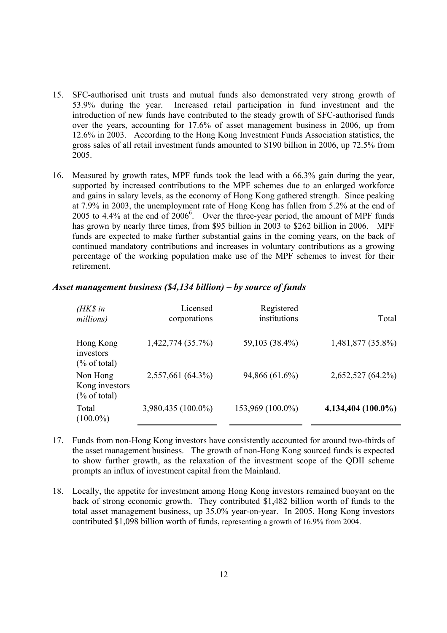- 15. SFC-authorised unit trusts and mutual funds also demonstrated very strong growth of 53.9% during the year. Increased retail participation in fund investment and the introduction of new funds have contributed to the steady growth of SFC-authorised funds over the years, accounting for 17.6% of asset management business in 2006, up from 12.6% in 2003. According to the Hong Kong Investment Funds Association statistics, the gross sales of all retail investment funds amounted to \$190 billion in 2006, up 72.5% from 2005.
- 16. Measured by growth rates, MPF funds took the lead with a 66.3% gain during the year, supported by increased contributions to the MPF schemes due to an enlarged workforce and gains in salary levels, as the economy of Hong Kong gathered strength. Since peaking at 7.9% in 2003, the unemployment rate of Hong Kong has fallen from 5.2% at the end of 2005 to 4.4% at the end of  $2006^6$ . Over the three-year period, the amount of MPF funds has grown by nearly three times, from \$95 billion in 2003 to \$262 billion in 2006. MPF funds are expected to make further substantial gains in the coming years, on the back of continued mandatory contributions and increases in voluntary contributions as a growing percentage of the working population make use of the MPF schemes to invest for their retirement.

| $(HK\$ in<br>millions)                                | Licensed<br>corporations | Registered<br>institutions | Total                |
|-------------------------------------------------------|--------------------------|----------------------------|----------------------|
| Hong Kong<br>investors<br>$(\% \text{ of total})$     | 1,422,774 (35.7%)        | 59,103 (38.4%)             | 1,481,877 (35.8%)    |
| Non Hong<br>Kong investors<br>$(\% \text{ of total})$ | 2,557,661 (64.3%)        | 94,866 (61.6%)             | 2,652,527 (64.2%)    |
| Total<br>$(100.0\%)$                                  | 3,980,435 (100.0%)       | 153,969 (100.0%)           | $4,134,404$ (100.0%) |

#### *Asset management business (\$4,134 billion) – by source of funds*

- 17. Funds from non-Hong Kong investors have consistently accounted for around two-thirds of the asset management business. The growth of non-Hong Kong sourced funds is expected to show further growth, as the relaxation of the investment scope of the QDII scheme prompts an influx of investment capital from the Mainland.
- 18. Locally, the appetite for investment among Hong Kong investors remained buoyant on the back of strong economic growth. They contributed \$1,482 billion worth of funds to the total asset management business, up 35.0% year-on-year. In 2005, Hong Kong investors contributed \$1,098 billion worth of funds, representing a growth of 16.9% from 2004.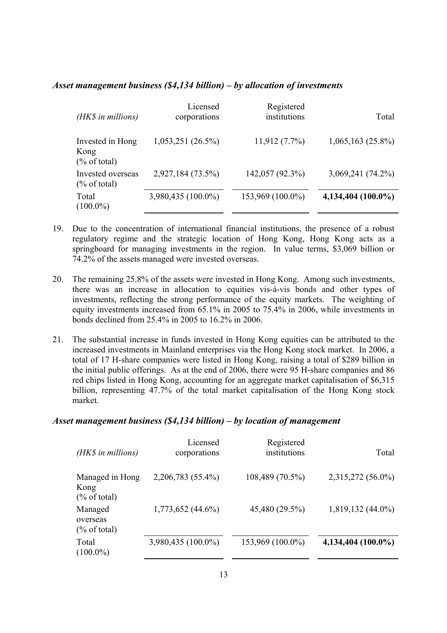#### *Asset management business (\$4,134 billion) – by allocation of investments*

| (HK\$ in millions)                                  | Licensed<br>corporations | Registered<br>institutions | Total                |
|-----------------------------------------------------|--------------------------|----------------------------|----------------------|
| Invested in Hong<br>Kong<br>$(\% \text{ of total})$ | 1,053,251(26.5%)         | $11,912(7.7\%)$            | $1,065,163(25.8\%)$  |
| Invested overseas<br>$(\%$ of total)                | 2,927,184 (73.5%)        | 142,057 (92.3%)            | $3,069,241(74.2\%)$  |
| Total<br>$(100.0\%)$                                | 3,980,435 (100.0%)       | 153,969 (100.0%)           | $4,134,404$ (100.0%) |

- 19. Due to the concentration of international financial institutions, the presence of a robust regulatory regime and the strategic location of Hong Kong, Hong Kong acts as a springboard for managing investments in the region. In value terms, \$3,069 billion or 74.2% of the assets managed were invested overseas.
- 20. The remaining 25.8% of the assets were invested in Hong Kong. Among such investments, there was an increase in allocation to equities vis-à-vis bonds and other types of investments, reflecting the strong performance of the equity markets. The weighting of equity investments increased from 65.1% in 2005 to 75.4% in 2006, while investments in bonds declined from 25.4% in 2005 to 16.2% in 2006.
- 21. The substantial increase in funds invested in Hong Kong equities can be attributed to the increased investments in Mainland enterprises via the Hong Kong stock market. In 2006, a total of 17 H-share companies were listed in Hong Kong, raising a total of \$289 billion in the initial public offerings. As at the end of 2006, there were 95 H-share companies and 86 red chips listed in Hong Kong, accounting for an aggregate market capitalisation of \$6,315 billion, representing 47.7% of the total market capitalisation of the Hong Kong stock market.

#### *Asset management business (\$4,134 billion) – by location of management*

| (HK\$ in millions)                                 | Licensed<br>corporations | Registered<br>institutions | Total                |
|----------------------------------------------------|--------------------------|----------------------------|----------------------|
| Managed in Hong<br>Kong<br>$(\% \text{ of total})$ | 2,206,783 (55.4%)        | 108,489 (70.5%)            | 2,315,272 (56.0%)    |
| Managed<br>overseas<br>$(\%$ of total)             | $1,773,652$ (44.6%)      | 45,480 (29.5%)             | $1,819,132(44.0\%)$  |
| Total<br>$(100.0\%)$                               | 3,980,435 (100.0%)       | 153,969 (100.0%)           | $4,134,404$ (100.0%) |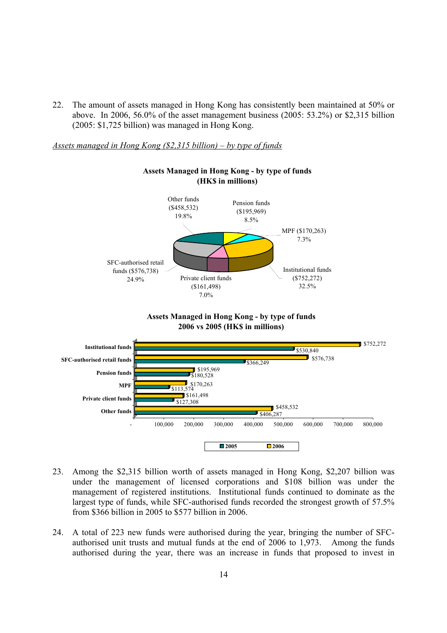22. The amount of assets managed in Hong Kong has consistently been maintained at 50% or above. In 2006, 56.0% of the asset management business (2005: 53.2%) or \$2,315 billion (2005: \$1,725 billion) was managed in Hong Kong.

*Assets managed in Hong Kong (\$2,315 billion) – by type of funds*



#### **Assets Managed in Hong Kong - by type of funds (HK\$ in millions)**





- 23. Among the \$2,315 billion worth of assets managed in Hong Kong, \$2,207 billion was under the management of licensed corporations and \$108 billion was under the management of registered institutions. Institutional funds continued to dominate as the largest type of funds, while SFC-authorised funds recorded the strongest growth of 57.5% from \$366 billion in 2005 to \$577 billion in 2006.
- 24. A total of 223 new funds were authorised during the year, bringing the number of SFCauthorised unit trusts and mutual funds at the end of 2006 to 1,973. Among the funds authorised during the year, there was an increase in funds that proposed to invest in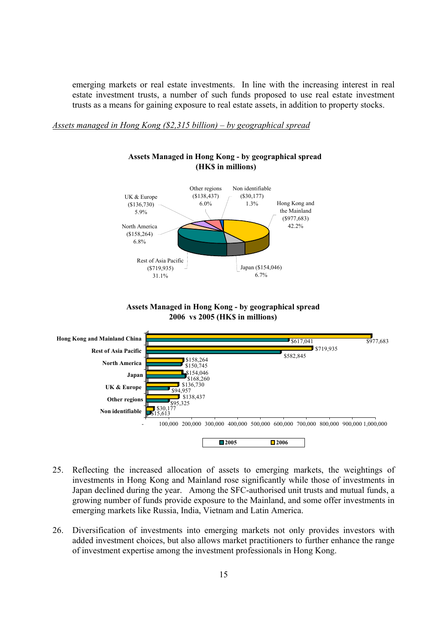emerging markets or real estate investments. In line with the increasing interest in real estate investment trusts, a number of such funds proposed to use real estate investment trusts as a means for gaining exposure to real estate assets, in addition to property stocks.

*Assets managed in Hong Kong (\$2,315 billion) – by geographical spread*



#### **Assets Managed in Hong Kong - by geographical spread (HK\$ in millions)**





- 25. Reflecting the increased allocation of assets to emerging markets, the weightings of investments in Hong Kong and Mainland rose significantly while those of investments in Japan declined during the year. Among the SFC-authorised unit trusts and mutual funds, a growing number of funds provide exposure to the Mainland, and some offer investments in emerging markets like Russia, India, Vietnam and Latin America.
- 26. Diversification of investments into emerging markets not only provides investors with added investment choices, but also allows market practitioners to further enhance the range of investment expertise among the investment professionals in Hong Kong.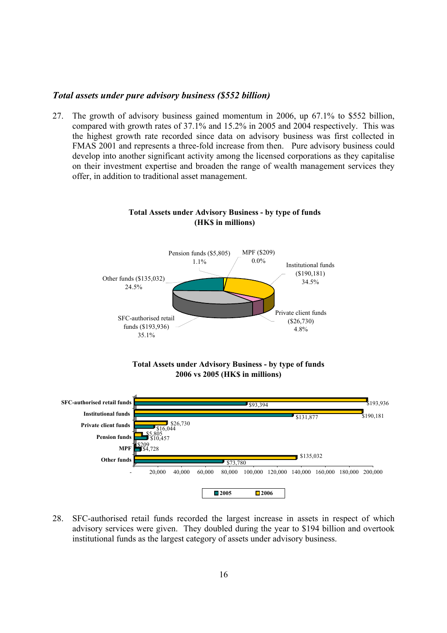#### *Total assets under pure advisory business (\$552 billion)*

27. The growth of advisory business gained momentum in 2006, up 67.1% to \$552 billion, compared with growth rates of 37.1% and 15.2% in 2005 and 2004 respectively. This was the highest growth rate recorded since data on advisory business was first collected in FMAS 2001 and represents a three-fold increase from then. Pure advisory business could develop into another significant activity among the licensed corporations as they capitalise on their investment expertise and broaden the range of wealth management services they offer, in addition to traditional asset management.



#### **Total Assets under Advisory Business - by type of funds (HK\$ in millions)**





28. SFC-authorised retail funds recorded the largest increase in assets in respect of which advisory services were given. They doubled during the year to \$194 billion and overtook institutional funds as the largest category of assets under advisory business.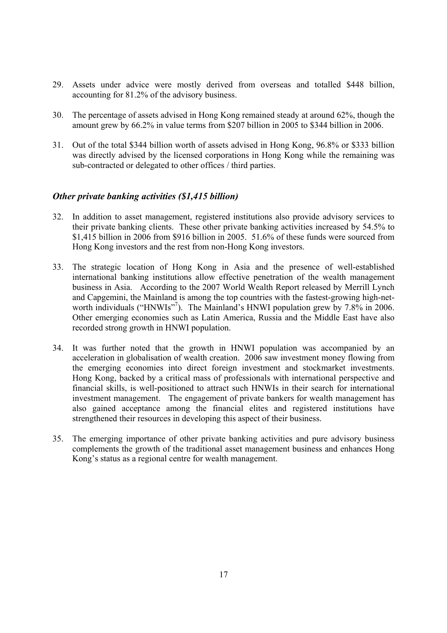- 29. Assets under advice were mostly derived from overseas and totalled \$448 billion, accounting for 81.2% of the advisory business.
- 30. The percentage of assets advised in Hong Kong remained steady at around 62%, though the amount grew by 66.2% in value terms from \$207 billion in 2005 to \$344 billion in 2006.
- 31. Out of the total \$344 billion worth of assets advised in Hong Kong, 96.8% or \$333 billion was directly advised by the licensed corporations in Hong Kong while the remaining was sub-contracted or delegated to other offices / third parties.

#### *Other private banking activities (\$1,415 billion)*

- 32. In addition to asset management, registered institutions also provide advisory services to their private banking clients. These other private banking activities increased by 54.5% to \$1,415 billion in 2006 from \$916 billion in 2005. 51.6% of these funds were sourced from Hong Kong investors and the rest from non-Hong Kong investors.
- 33. The strategic location of Hong Kong in Asia and the presence of well-established international banking institutions allow effective penetration of the wealth management business in Asia. According to the 2007 World Wealth Report released by Merrill Lynch and Capgemini, the Mainland is among the top countries with the fastest-growing high-networth individuals ("HNWIs"<sup>7</sup>). The Mainland's HNWI population grew by 7.8% in 2006. Other emerging economies such as Latin America, Russia and the Middle East have also recorded strong growth in HNWI population.
- 34. It was further noted that the growth in HNWI population was accompanied by an acceleration in globalisation of wealth creation. 2006 saw investment money flowing from the emerging economies into direct foreign investment and stockmarket investments. Hong Kong, backed by a critical mass of professionals with international perspective and financial skills, is well-positioned to attract such HNWIs in their search for international investment management. The engagement of private bankers for wealth management has also gained acceptance among the financial elites and registered institutions have strengthened their resources in developing this aspect of their business.
- 35. The emerging importance of other private banking activities and pure advisory business complements the growth of the traditional asset management business and enhances Hong Kong's status as a regional centre for wealth management.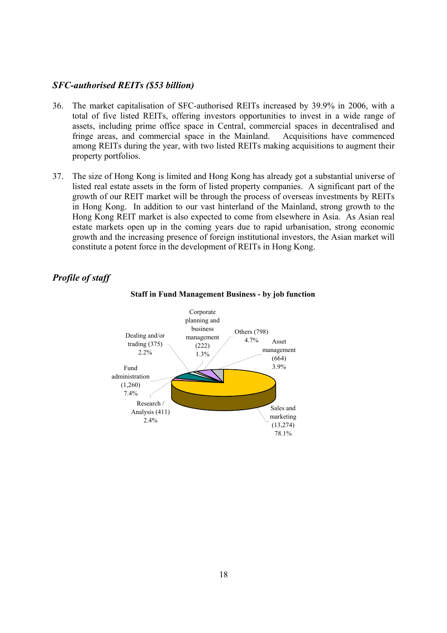#### *SFC-authorised REITs (\$53 billion)*

- 36. The market capitalisation of SFC-authorised REITs increased by 39.9% in 2006, with a total of five listed REITs, offering investors opportunities to invest in a wide range of assets, including prime office space in Central, commercial spaces in decentralised and fringe areas, and commercial space in the Mainland. Acquisitions have commenced among REITs during the year, with two listed REITs making acquisitions to augment their property portfolios.
- 37. The size of Hong Kong is limited and Hong Kong has already got a substantial universe of listed real estate assets in the form of listed property companies. A significant part of the growth of our REIT market will be through the process of overseas investments by REITs in Hong Kong. In addition to our vast hinterland of the Mainland, strong growth to the Hong Kong REIT market is also expected to come from elsewhere in Asia. As Asian real estate markets open up in the coming years due to rapid urbanisation, strong economic growth and the increasing presence of foreign institutional investors, the Asian market will constitute a potent force in the development of REITs in Hong Kong.

### *Profile of staff*



#### **Staff in Fund Management Business - by job function**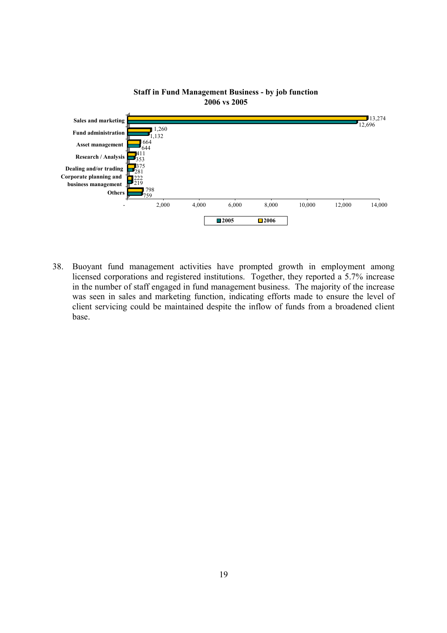

#### **Staff in Fund Management Business - by job function 2006 vs 2005**

38. Buoyant fund management activities have prompted growth in employment among licensed corporations and registered institutions. Together, they reported a 5.7% increase in the number of staff engaged in fund management business. The majority of the increase was seen in sales and marketing function, indicating efforts made to ensure the level of client servicing could be maintained despite the inflow of funds from a broadened client base.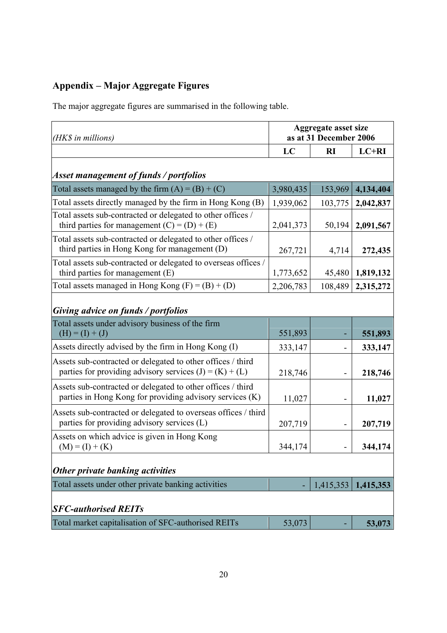# **Appendix – Major Aggregate Figures**

The major aggregate figures are summarised in the following table.

| (HK\$ in millions)                                                                                                       | <b>Aggregate asset size</b><br>as at 31 December 2006 |                          |           |
|--------------------------------------------------------------------------------------------------------------------------|-------------------------------------------------------|--------------------------|-----------|
|                                                                                                                          | LC                                                    | RI                       | LC+RI     |
| Asset management of funds / portfolios                                                                                   |                                                       |                          |           |
| Total assets managed by the firm $(A) = (B) + (C)$                                                                       | 3,980,435                                             | 153,969                  | 4,134,404 |
| Total assets directly managed by the firm in Hong Kong (B)                                                               | 1,939,062                                             | 103,775                  | 2,042,837 |
| Total assets sub-contracted or delegated to other offices /<br>third parties for management $(C) = (D) + (E)$            | 2,041,373                                             | 50,194                   | 2,091,567 |
| Total assets sub-contracted or delegated to other offices /<br>third parties in Hong Kong for management (D)             | 267,721                                               | 4,714                    | 272,435   |
| Total assets sub-contracted or delegated to overseas offices /<br>third parties for management (E)                       | 1,773,652                                             | 45,480                   | 1,819,132 |
| Total assets managed in Hong Kong $(F) = (B) + (D)$                                                                      | 2,206,783                                             | 108,489                  | 2,315,272 |
| Giving advice on funds / portfolios                                                                                      |                                                       |                          |           |
| Total assets under advisory business of the firm<br>$(H) = (I) + (J)$                                                    | 551,893                                               | ۰                        | 551,893   |
| Assets directly advised by the firm in Hong Kong (I)                                                                     | 333,147                                               |                          | 333,147   |
| Assets sub-contracted or delegated to other offices / third<br>parties for providing advisory services $(J) = (K) + (L)$ | 218,746                                               |                          | 218,746   |
| Assets sub-contracted or delegated to other offices / third<br>parties in Hong Kong for providing advisory services (K)  | 11,027                                                |                          | 11,027    |
| Assets sub-contracted or delegated to overseas offices / third<br>parties for providing advisory services (L)            | 207,719                                               | $\overline{\phantom{a}}$ | 207,719   |
| Assets on which advice is given in Hong Kong<br>$(M) = (I) + (K)$                                                        | 344,174                                               |                          | 344,174   |
| Other private banking activities                                                                                         |                                                       |                          |           |
| Total assets under other private banking activities                                                                      |                                                       | 1,415,353                | 1,415,353 |
| <b>SFC-authorised REITs</b>                                                                                              |                                                       |                          |           |
| Total market capitalisation of SFC-authorised REITs                                                                      | 53,073                                                |                          | 53,073    |